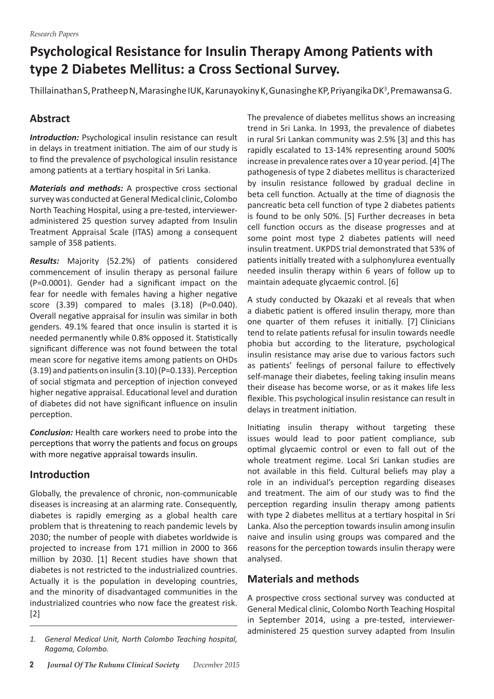# **Psychological Resistance for Insulin Therapy Among Patients with type 2 Diabetes Mellitus: a Cross Sectional Survey.**

Thillainathan S, Pratheep N, Marasinghe IUK, Karunayokiny K, Gunasinghe KP, Priyangika DK<sup>3</sup>, Premawansa G.

# **Abstract**

*Introduction:* Psychological insulin resistance can result in delays in treatment initiation. The aim of our study is to find the prevalence of psychological insulin resistance among patients at a tertiary hospital in Sri Lanka.

*Materials and methods:* A prospective cross sectional survey was conducted at General Medical clinic, Colombo North Teaching Hospital, using a pre-tested, intervieweradministered 25 question survey adapted from Insulin Treatment Appraisal Scale (ITAS) among a consequent sample of 358 patients.

*Results:* Majority (52.2%) of patients considered commencement of insulin therapy as personal failure (P=0.0001). Gender had a significant impact on the fear for needle with females having a higher negative score (3.39) compared to males (3.18) (P=0.040). Overall negative appraisal for insulin was similar in both genders. 49.1% feared that once insulin is started it is needed permanently while 0.8% opposed it. Statistically significant difference was not found between the total mean score for negative items among patients on OHDs (3.19) and patients on insulin (3.10)(P=0.133). Perception of social stigmata and perception of injection conveyed higher negative appraisal. Educational level and duration of diabetes did not have significant influence on insulin perception.

*Conclusion:* Health care workers need to probe into the perceptions that worry the patients and focus on groups with more negative appraisal towards insulin.

## **Introduction**

Globally, the prevalence of chronic, non-communicable diseases is increasing at an alarming rate. Consequently, diabetes is rapidly emerging as a global health care problem that is threatening to reach pandemic levels by 2030; the number of people with diabetes worldwide is projected to increase from 171 million in 2000 to 366 million by 2030. [1] Recent studies have shown that diabetes is not restricted to the industrialized countries. Actually it is the population in developing countries, and the minority of disadvantaged communities in the industrialized countries who now face the greatest risk. [2]

The prevalence of diabetes mellitus shows an increasing trend in Sri Lanka. In 1993, the prevalence of diabetes in rural Sri Lankan community was 2.5% [3] and this has rapidly escalated to 13-14% representing around 500% increase in prevalence rates over a 10 year period. [4] The pathogenesis of type 2 diabetes mellitus is characterized by insulin resistance followed by gradual decline in beta cell function. Actually at the time of diagnosis the pancreatic beta cell function of type 2 diabetes patients is found to be only 50%. [5] Further decreases in beta cell function occurs as the disease progresses and at some point most type 2 diabetes patients will need insulin treatment. UKPDS trial demonstrated that 53% of patients initially treated with a sulphonylurea eventually needed insulin therapy within 6 years of follow up to maintain adequate glycaemic control. [6]

A study conducted by Okazaki et al reveals that when a diabetic patient is offered insulin therapy, more than one quarter of them refuses it initially. [7] Clinicians tend to relate patients refusal for insulin towards needle phobia but according to the literature, psychological insulin resistance may arise due to various factors such as patients' feelings of personal failure to effectively self-manage their diabetes, feeling taking insulin means their disease has become worse, or as it makes life less flexible. This psychological insulin resistance can result in delays in treatment initiation.

Initiating insulin therapy without targeting these issues would lead to poor patient compliance, sub optimal glycaemic control or even to fall out of the whole treatment regime. Local Sri Lankan studies are not available in this field. Cultural beliefs may play a role in an individual's perception regarding diseases and treatment. The aim of our study was to find the perception regarding insulin therapy among patients with type 2 diabetes mellitus at a tertiary hospital in Sri Lanka. Also the perception towards insulin among insulin naive and insulin using groups was compared and the reasons for the perception towards insulin therapy were analysed.

## **Materials and methods**

A prospective cross sectional survey was conducted at General Medical clinic, Colombo North Teaching Hospital in September 2014, using a pre-tested, intervieweradministered 25 question survey adapted from Insulin

*<sup>1.</sup> General Medical Unit, North Colombo Teaching hospital, Ragama, Colombo.*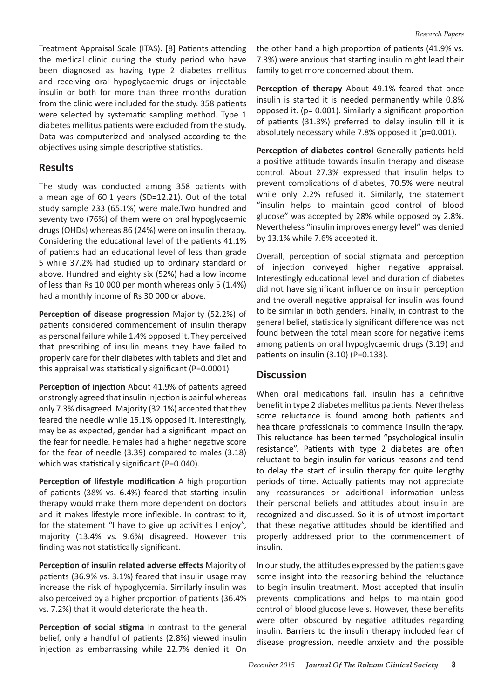Treatment Appraisal Scale (ITAS). [8] Patients attending the medical clinic during the study period who have been diagnosed as having type 2 diabetes mellitus and receiving oral hypoglycaemic drugs or injectable insulin or both for more than three months duration from the clinic were included for the study. 358 patients were selected by systematic sampling method. Type 1 diabetes mellitus patients were excluded from the study. Data was computerized and analysed according to the objectives using simple descriptive statistics.

#### **Results**

The study was conducted among 358 patients with a mean age of 60.1 years (SD=12.21). Out of the total study sample 233 (65.1%) were male.Two hundred and seventy two (76%) of them were on oral hypoglycaemic drugs (OHDs) whereas 86 (24%) were on insulin therapy. Considering the educational level of the patients 41.1% of patients had an educational level of less than grade 5 while 37.2% had studied up to ordinary standard or above. Hundred and eighty six (52%) had a low income of less than Rs 10 000 per month whereas only 5 (1.4%) had a monthly income of Rs 30 000 or above.

**Perception of disease progression** Majority (52.2%) of patients considered commencement of insulin therapy as personal failure while 1.4% opposed it. They perceived that prescribing of insulin means they have failed to properly care for their diabetes with tablets and diet and this appraisal was statistically significant (P=0.0001)

**Perception of injection** About 41.9% of patients agreed or strongly agreed that insulin injection is painful whereas only 7.3% disagreed. Majority (32.1%) accepted that they feared the needle while 15.1% opposed it. Interestingly, may be as expected, gender had a significant impact on the fear for needle. Females had a higher negative score for the fear of needle (3.39) compared to males (3.18) which was statistically significant (P=0.040).

**Perception of lifestyle modification** A high proportion of patients (38% vs. 6.4%) feared that starting insulin therapy would make them more dependent on doctors and it makes lifestyle more inflexible. In contrast to it, for the statement "I have to give up activities I enjoy", majority (13.4% vs. 9.6%) disagreed. However this finding was not statistically significant.

**Perception of insulin related adverse effects** Majority of patients (36.9% vs. 3.1%) feared that insulin usage may increase the risk of hypoglycemia. Similarly insulin was also perceived by a higher proportion of patients (36.4% vs. 7.2%) that it would deteriorate the health.

**Perception of social stigma** In contrast to the general belief, only a handful of patients (2.8%) viewed insulin injection as embarrassing while 22.7% denied it. On

the other hand a high proportion of patients (41.9% vs. 7.3%) were anxious that starting insulin might lead their family to get more concerned about them.

**Perception of therapy** About 49.1% feared that once insulin is started it is needed permanently while 0.8% opposed it. (p= 0.001). Similarly a significant proportion of patients (31.3%) preferred to delay insulin till it is absolutely necessary while 7.8% opposed it (p=0.001).

**Perception of diabetes control** Generally patients held a positive attitude towards insulin therapy and disease control. About 27.3% expressed that insulin helps to prevent complications of diabetes, 70.5% were neutral while only 2.2% refused it. Similarly, the statement "insulin helps to maintain good control of blood glucose" was accepted by 28% while opposed by 2.8%. Nevertheless "insulin improves energy level" was denied by 13.1% while 7.6% accepted it.

Overall, perception of social stigmata and perception of injection conveyed higher negative appraisal. Interestingly educational level and duration of diabetes did not have significant influence on insulin perception and the overall negative appraisal for insulin was found to be similar in both genders. Finally, in contrast to the general belief, statistically significant difference was not found between the total mean score for negative items among patients on oral hypoglycaemic drugs (3.19) and patients on insulin (3.10) (P=0.133).

## **Discussion**

When oral medications fail, insulin has a definitive benefit in type 2 diabetes mellitus patients. Nevertheless some reluctance is found among both patients and healthcare professionals to commence insulin therapy. This reluctance has been termed "psychological insulin resistance". Patients with type 2 diabetes are often reluctant to begin insulin for various reasons and tend to delay the start of insulin therapy for quite lengthy periods of time. Actually patients may not appreciate any reassurances or additional information unless their personal beliefs and attitudes about insulin are recognized and discussed. So it is of utmost important that these negative attitudes should be identified and properly addressed prior to the commencement of insulin.

In our study, the attitudes expressed by the patients gave some insight into the reasoning behind the reluctance to begin insulin treatment. Most accepted that insulin prevents complications and helps to maintain good control of blood glucose levels. However, these benefits were often obscured by negative attitudes regarding insulin. Barriers to the insulin therapy included fear of disease progression, needle anxiety and the possible